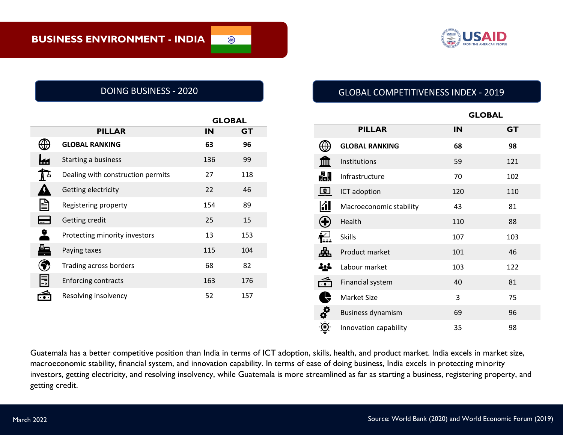

 $\bigcirc$ 

|      |                                   |     | <b>GLOBAL</b> |  |
|------|-----------------------------------|-----|---------------|--|
|      | <b>PILLAR</b>                     | IN  | GT            |  |
|      | <b>GLOBAL RANKING</b>             | 63  | 96            |  |
|      | Starting a business               | 136 | 99            |  |
| A ∸  | Dealing with construction permits | 27  | 118           |  |
|      | Getting electricity               | 22  | 46            |  |
| ≣    | Registering property              | 154 | 89            |  |
|      | Getting credit                    | 25  | 15            |  |
| 2    | Protecting minority investors     | 13  | 153           |  |
| ┻    | Paying taxes                      | 115 | 104           |  |
|      | Trading across borders            | 68  | 82            |  |
| III. | <b>Enforcing contracts</b>        | 163 | 176           |  |
|      | Resolving insolvency              | 52  | 157           |  |

# DOING BUSINESS - 2020 GLOBAL COMPETITIVENESS INDEX - 2019

|                  |                          | <b>GLOBAL</b> |           |
|------------------|--------------------------|---------------|-----------|
|                  | <b>PILLAR</b>            | IN            | <b>GT</b> |
|                  | <b>GLOBAL RANKING</b>    | 68            | 98        |
|                  | Institutions             | 59            | 121       |
| 畾                | Infrastructure           | 70            | 102       |
| $\bigoplus$      | ICT adoption             | 120           | 110       |
| KI               | Macroeconomic stability  | 43            | 81        |
| $\mathbf \theta$ | Health                   | 110           | 88        |
| ∱∠⊥<br>¶≚≟≟      | <b>Skills</b>            | 107           | 103       |
| 盀                | Product market           | 101           | 46        |
| 소스               | Labour market            | 103           | 122       |
| م<br>ا           | Financial system         | 40            | 81        |
| Ĥ                | <b>Market Size</b>       | 3             | 75        |
| -90              | <b>Business dynamism</b> | 69            | 96        |
|                  | Innovation capability    | 35            | 98        |

Guatemala has a better competitive position than India in terms of ICT adoption, skills, health, and product market. India excels in market size, macroeconomic stability, financial system, and innovation capability. In terms of ease of doing business, India excels in protecting minority investors, getting electricity, and resolving insolvency, while Guatemala is more streamlined as far as starting a business, registering property, and getting credit.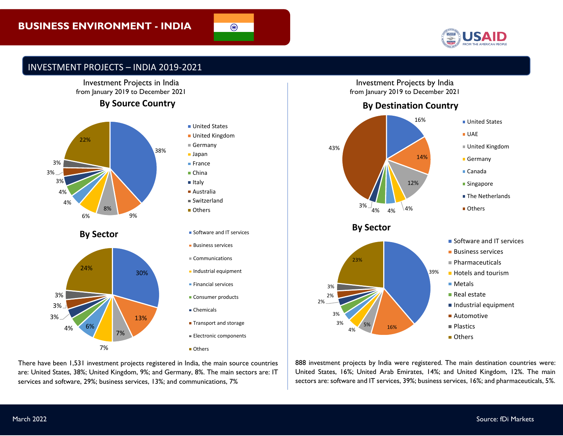# **BUSINESS ENVIRONMENT - INDIA**



#### INVESTMENT PROJECTS – INDIA 2019-2021



#### **By Source Country**



7%

7%



 $\overline{\circ}$ 

There have been 1,531 investment projects registered in India, the main source countries are: United States, 38%; United Kingdom, 9%; and Germany, 8%. The main sectors are: IT services and software, 29%; business services, 13%; and communications, 7%

Investment Projects by India from January 2019 to December 2021

**By Destination Country**



888 investment projects by India were registered. The main destination countries were: United States, 16%; United Arab Emirates, 14%; and United Kingdom, 12%. The main sectors are: software and IT services, 39%; business services, 16%; and pharmaceuticals, 5%.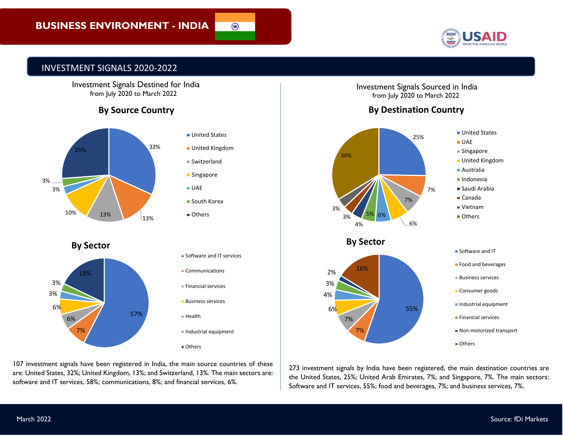

## INVESTMENT SIGNALS 2020-2022

 Investment Signals Destined for India from July 2020 to March 2022

## **By Source Country**



| ■ United Kingdom          |  |  |
|---------------------------|--|--|
| ■ Switzerland             |  |  |
| ■ Singapore               |  |  |
| ■ UAE                     |  |  |
| ■ South Korea             |  |  |
| Others                    |  |  |
|                           |  |  |
|                           |  |  |
| Software and IT services  |  |  |
| • Communications          |  |  |
| <b>Einancial services</b> |  |  |
| <b>Business services</b>  |  |  |
| ■ Health                  |  |  |
| Industrial equipment      |  |  |
| ■ Others                  |  |  |

 $\overline{\circledast}$ 

are: United States, 32%; United Kingdom, 13%; and Switzerland, 13%. The main sectors are:<br>- 2011 - 2014 107 investment signals have been registered in India, the main source countries of these software and IT services, 58%; communications, 8%; and financial services, 6%.

Investment Signals Sourced in India from July 2020 to March 2022

# **By Destination Country**



273 investment signals by India have been registered, the main destination countries are the United States, 25%; United Arab Emirates, 7%; and Singapore, 7%. The main sectors: Software and IT services, 55%; food and beverages, 7%; and business services, 7%.

March 2022

7%

6%